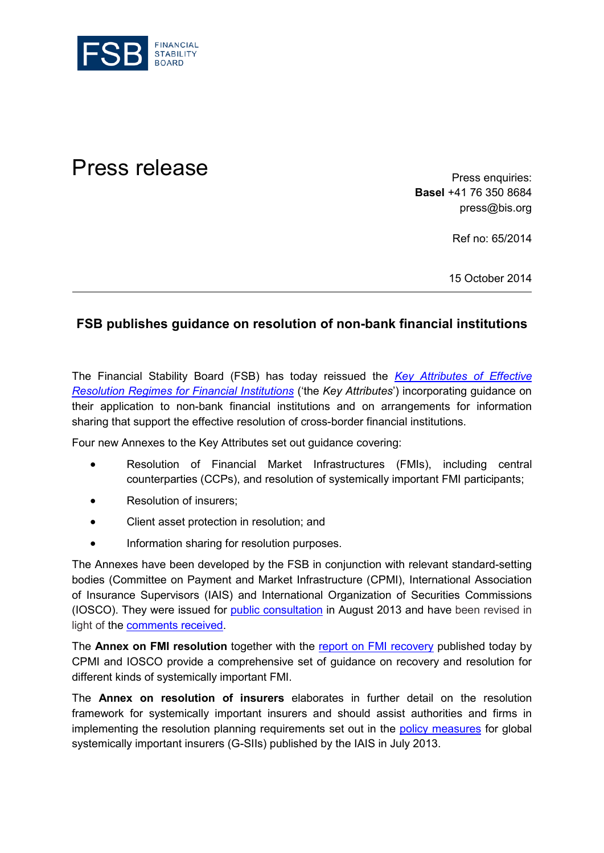

## Press release **Press release**

**Basel** +41 76 350 8684 press@bis.org

Ref no: 65/2014

15 October 2014

## **FSB publishes guidance on resolution of non-bank financial institutions**

The Financial Stability Board (FSB) has today reissued the *[Key Attributes of Effective](http://www.financialstabilityboard.org/publications/r_141015.htm)  [Resolution Regimes for Financial Institutions](http://www.financialstabilityboard.org/publications/r_141015.htm)* ('the *Key Attributes*') incorporating guidance on their application to non-bank financial institutions and on arrangements for information sharing that support the effective resolution of cross-border financial institutions.

Four new Annexes to the Key Attributes set out guidance covering:

- Resolution of Financial Market Infrastructures (FMIs), including central counterparties (CCPs), and resolution of systemically important FMI participants;
- Resolution of insurers:
- Client asset protection in resolution; and
- Information sharing for resolution purposes.

The Annexes have been developed by the FSB in conjunction with relevant standard-setting bodies (Committee on Payment and Market Infrastructure (CPMI), International Association of Insurance Supervisors (IAIS) and International Organization of Securities Commissions (IOSCO). They were issued for [public consultation](http://www.financialstabilityboard.org/publications/r_130812a.htm) in August 2013 and have been revised in light of the [comments received.](http://www.financialstabilityboard.org/publications/c_131025_1.htm)

The **Annex on FMI resolution** together with the [report on FMI recovery](http://www.bis.org/cpmi/publ/d121.pdf) published today by CPMI and IOSCO provide a comprehensive set of guidance on recovery and resolution for different kinds of systemically important FMI.

The **Annex on resolution of insurers** elaborates in further detail on the resolution framework for systemically important insurers and should assist authorities and firms in implementing the resolution planning requirements set out in the [policy measures](http://www.financialstabilityboard.org/press/pr_130718.pdf) for global systemically important insurers (G-SIIs) published by the IAIS in July 2013.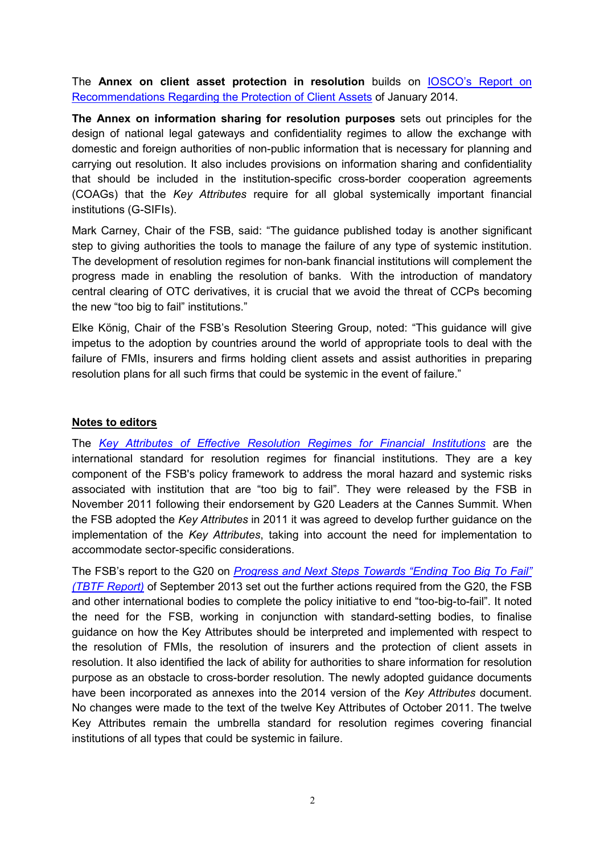The **Annex on client asset protection in resolution** builds on [IOSCO's Report on](http://www.iosco.org/library/pubdocs/pdf/IOSCOPD436.pdf)  [Recommendations Regarding the Protection of Client Assets](http://www.iosco.org/library/pubdocs/pdf/IOSCOPD436.pdf) of January 2014.

**The Annex on information sharing for resolution purposes** sets out principles for the design of national legal gateways and confidentiality regimes to allow the exchange with domestic and foreign authorities of non-public information that is necessary for planning and carrying out resolution. It also includes provisions on information sharing and confidentiality that should be included in the institution-specific cross-border cooperation agreements (COAGs) that the *Key Attributes* require for all global systemically important financial institutions (G-SIFIs).

Mark Carney, Chair of the FSB, said: "The guidance published today is another significant step to giving authorities the tools to manage the failure of any type of systemic institution. The development of resolution regimes for non-bank financial institutions will complement the progress made in enabling the resolution of banks. With the introduction of mandatory central clearing of OTC derivatives, it is crucial that we avoid the threat of CCPs becoming the new "too big to fail" institutions."

Elke König, Chair of the FSB's Resolution Steering Group, noted: "This guidance will give impetus to the adoption by countries around the world of appropriate tools to deal with the failure of FMIs, insurers and firms holding client assets and assist authorities in preparing resolution plans for all such firms that could be systemic in the event of failure."

## **Notes to editors**

The *[Key Attributes of Effective Resolution Regimes for Financial Institutions](http://www.financialstabilityboard.org/publications/r_111104cc.pdf)* are the international standard for resolution regimes for financial institutions. They are a key component of the FSB's policy framework to address the moral hazard and systemic risks associated with institution that are "too big to fail". They were released by the FSB in November 2011 following their endorsement by G20 Leaders at the Cannes Summit. When the FSB adopted the *Key Attributes* in 2011 it was agreed to develop further guidance on the implementation of the *Key Attributes*, taking into account the need for implementation to accommodate sector-specific considerations.

The FSB's report to the G20 on *[Progress and Next Steps Towards "Ending Too Big To Fail"](http://www.financialstabilityboard.org/publications/r_130902.pdf)  [\(TBTF Report\)](http://www.financialstabilityboard.org/publications/r_130902.pdf)* of September 2013 set out the further actions required from the G20, the FSB and other international bodies to complete the policy initiative to end "too-big-to-fail". It noted the need for the FSB, working in conjunction with standard-setting bodies, to finalise guidance on how the Key Attributes should be interpreted and implemented with respect to the resolution of FMIs, the resolution of insurers and the protection of client assets in resolution. It also identified the lack of ability for authorities to share information for resolution purpose as an obstacle to cross-border resolution. The newly adopted guidance documents have been incorporated as annexes into the 2014 version of the *Key Attributes* document. No changes were made to the text of the twelve Key Attributes of October 2011. The twelve Key Attributes remain the umbrella standard for resolution regimes covering financial institutions of all types that could be systemic in failure.